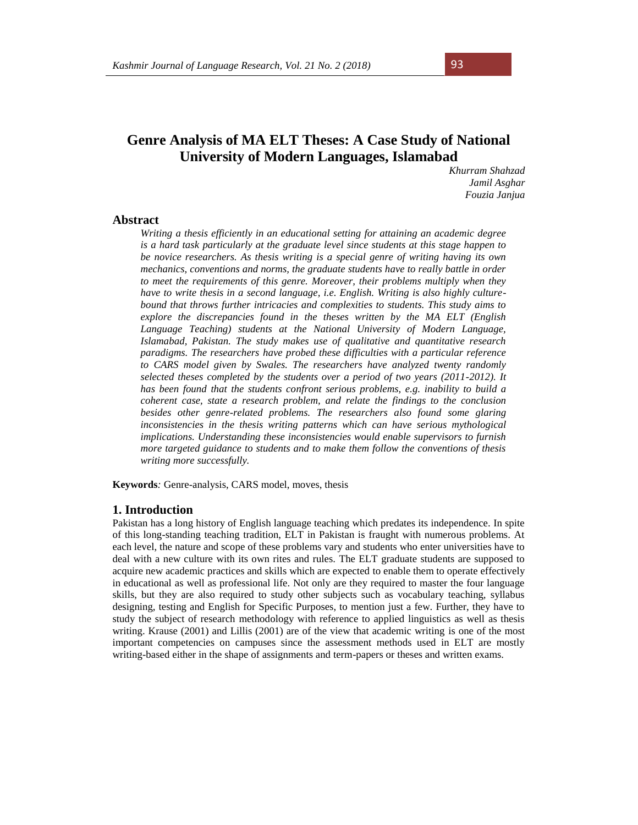# **Genre Analysis of MA ELT Theses: A Case Study of National University of Modern Languages, Islamabad**

*Khurram Shahzad Jamil Asghar Fouzia Janjua*

# **Abstract**

*Writing a thesis efficiently in an educational setting for attaining an academic degree is a hard task particularly at the graduate level since students at this stage happen to be novice researchers. As thesis writing is a special genre of writing having its own mechanics, conventions and norms, the graduate students have to really battle in order to meet the requirements of this genre. Moreover, their problems multiply when they have to write thesis in a second language, i.e. English. Writing is also highly culturebound that throws further intricacies and complexities to students. This study aims to explore the discrepancies found in the theses written by the MA ELT (English Language Teaching) students at the National University of Modern Language, Islamabad, Pakistan. The study makes use of qualitative and quantitative research paradigms. The researchers have probed these difficulties with a particular reference to CARS model given by Swales. The researchers have analyzed twenty randomly selected theses completed by the students over a period of two years (2011-2012). It has been found that the students confront serious problems, e.g. inability to build a coherent case, state a research problem, and relate the findings to the conclusion besides other genre-related problems. The researchers also found some glaring inconsistencies in the thesis writing patterns which can have serious mythological implications. Understanding these inconsistencies would enable supervisors to furnish more targeted guidance to students and to make them follow the conventions of thesis writing more successfully.*

**Keywords***:* Genre-analysis, CARS model, moves, thesis

## **1. Introduction**

Pakistan has a long history of English language teaching which predates its independence. In spite of this long-standing teaching tradition, ELT in Pakistan is fraught with numerous problems. At each level, the nature and scope of these problems vary and students who enter universities have to deal with a new culture with its own rites and rules. The ELT graduate students are supposed to acquire new academic practices and skills which are expected to enable them to operate effectively in educational as well as professional life. Not only are they required to master the four language skills, but they are also required to study other subjects such as vocabulary teaching, syllabus designing, testing and English for Specific Purposes, to mention just a few. Further, they have to study the subject of research methodology with reference to applied linguistics as well as thesis writing. Krause (2001) and Lillis (2001) are of the view that academic writing is one of the most important competencies on campuses since the assessment methods used in ELT are mostly writing-based either in the shape of assignments and term-papers or theses and written exams.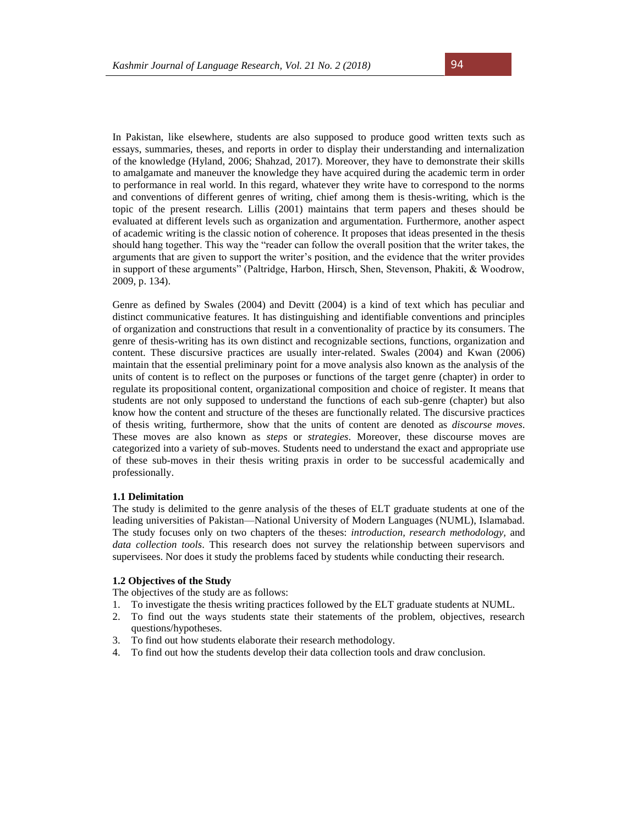In Pakistan, like elsewhere, students are also supposed to produce good written texts such as essays, summaries, theses, and reports in order to display their understanding and internalization of the knowledge (Hyland, 2006; Shahzad, 2017). Moreover, they have to demonstrate their skills to amalgamate and maneuver the knowledge they have acquired during the academic term in order to performance in real world. In this regard, whatever they write have to correspond to the norms and conventions of different genres of writing, chief among them is thesis-writing, which is the topic of the present research. Lillis (2001) maintains that term papers and theses should be evaluated at different levels such as organization and argumentation. Furthermore, another aspect of academic writing is the classic notion of coherence. It proposes that ideas presented in the thesis should hang together. This way the "reader can follow the overall position that the writer takes, the arguments that are given to support the writer's position, and the evidence that the writer provides in support of these arguments" (Paltridge, Harbon, Hirsch, Shen, Stevenson, Phakiti, & Woodrow, 2009, p. 134).

Genre as defined by Swales (2004) and Devitt (2004) is a kind of text which has peculiar and distinct communicative features. It has distinguishing and identifiable conventions and principles of organization and constructions that result in a conventionality of practice by its consumers. The genre of thesis-writing has its own distinct and recognizable sections, functions, organization and content. These discursive practices are usually inter-related. Swales (2004) and Kwan (2006) maintain that the essential preliminary point for a move analysis also known as the analysis of the units of content is to reflect on the purposes or functions of the target genre (chapter) in order to regulate its propositional content, organizational composition and choice of register. It means that students are not only supposed to understand the functions of each sub-genre (chapter) but also know how the content and structure of the theses are functionally related. The discursive practices of thesis writing, furthermore, show that the units of content are denoted as *discourse moves*. These moves are also known as *steps* or *strategies*. Moreover, these discourse moves are categorized into a variety of sub-moves. Students need to understand the exact and appropriate use of these sub-moves in their thesis writing praxis in order to be successful academically and professionally.

#### **1.1 Delimitation**

The study is delimited to the genre analysis of the theses of ELT graduate students at one of the leading universities of Pakistan—National University of Modern Languages (NUML), Islamabad. The study focuses only on two chapters of the theses: *introduction, research methodology,* and *data collection tools*. This research does not survey the relationship between supervisors and supervisees. Nor does it study the problems faced by students while conducting their research.

### **1.2 Objectives of the Study**

The objectives of the study are as follows:

- 1. To investigate the thesis writing practices followed by the ELT graduate students at NUML.
- 2. To find out the ways students state their statements of the problem, objectives, research questions/hypotheses.
- 3. To find out how students elaborate their research methodology.
- 4. To find out how the students develop their data collection tools and draw conclusion.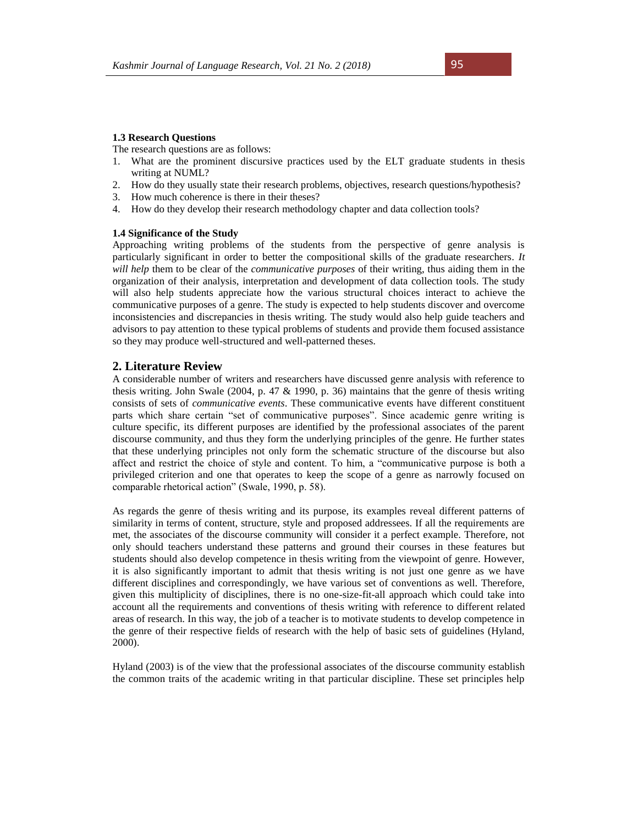#### **1.3 Research Questions**

The research questions are as follows:

- 1. What are the prominent discursive practices used by the ELT graduate students in thesis writing at NUML?
- 2. How do they usually state their research problems, objectives, research questions/hypothesis?
- 3. How much coherence is there in their theses?
- 4. How do they develop their research methodology chapter and data collection tools?

#### **1.4 Significance of the Study**

Approaching writing problems of the students from the perspective of genre analysis is particularly significant in order to better the compositional skills of the graduate researchers*. It will help* them to be clear of the *communicative purposes* of their writing, thus aiding them in the organization of their analysis, interpretation and development of data collection tools. The study will also help students appreciate how the various structural choices interact to achieve the communicative purposes of a genre. The study is expected to help students discover and overcome inconsistencies and discrepancies in thesis writing. The study would also help guide teachers and advisors to pay attention to these typical problems of students and provide them focused assistance so they may produce well-structured and well-patterned theses.

# **2. Literature Review**

A considerable number of writers and researchers have discussed genre analysis with reference to thesis writing. John Swale (2004, p. 47  $\&$  1990, p. 36) maintains that the genre of thesis writing consists of sets of *communicative events*. These communicative events have different constituent parts which share certain "set of communicative purposes". Since academic genre writing is culture specific, its different purposes are identified by the professional associates of the parent discourse community, and thus they form the underlying principles of the genre. He further states that these underlying principles not only form the schematic structure of the discourse but also affect and restrict the choice of style and content. To him, a "communicative purpose is both a privileged criterion and one that operates to keep the scope of a genre as narrowly focused on comparable rhetorical action" (Swale, 1990, p. 58).

As regards the genre of thesis writing and its purpose, its examples reveal different patterns of similarity in terms of content, structure, style and proposed addressees. If all the requirements are met, the associates of the discourse community will consider it a perfect example. Therefore, not only should teachers understand these patterns and ground their courses in these features but students should also develop competence in thesis writing from the viewpoint of genre. However, it is also significantly important to admit that thesis writing is not just one genre as we have different disciplines and correspondingly, we have various set of conventions as well. Therefore, given this multiplicity of disciplines, there is no one-size-fit-all approach which could take into account all the requirements and conventions of thesis writing with reference to different related areas of research. In this way, the job of a teacher is to motivate students to develop competence in the genre of their respective fields of research with the help of basic sets of guidelines (Hyland, 2000).

Hyland (2003) is of the view that the professional associates of the discourse community establish the common traits of the academic writing in that particular discipline. These set principles help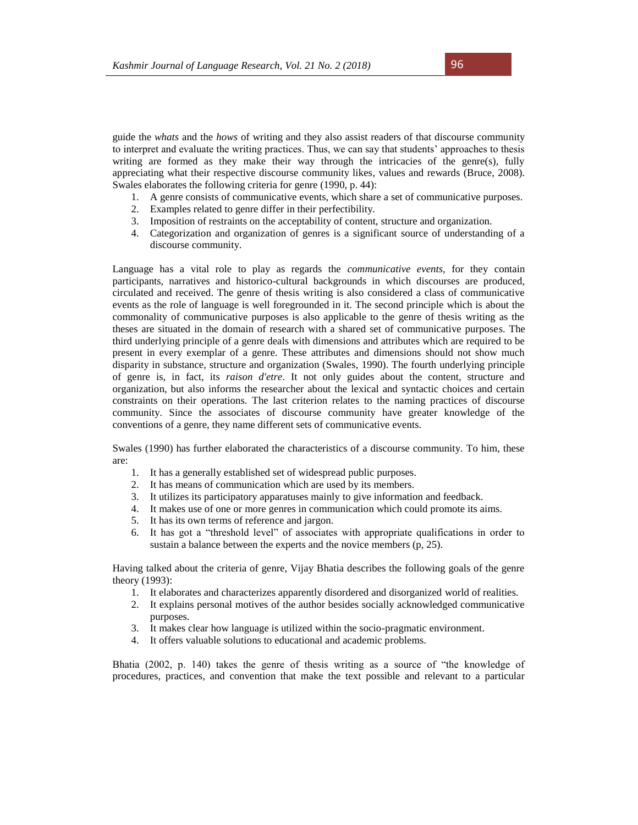guide the *whats* and the *hows* of writing and they also assist readers of that discourse community to interpret and evaluate the writing practices. Thus, we can say that students' approaches to thesis writing are formed as they make their way through the intricacies of the genre(s), fully appreciating what their respective discourse community likes, values and rewards (Bruce, 2008). Swales elaborates the following criteria for genre (1990, p. 44):

- 1. A genre consists of communicative events, which share a set of communicative purposes.
- 2. Examples related to genre differ in their perfectibility.
- 3. Imposition of restraints on the acceptability of content, structure and organization.
- 4. Categorization and organization of genres is a significant source of understanding of a discourse community.

Language has a vital role to play as regards the *communicative events,* for they contain participants, narratives and historico-cultural backgrounds in which discourses are produced, circulated and received. The genre of thesis writing is also considered a class of communicative events as the role of language is well foregrounded in it. The second principle which is about the commonality of communicative purposes is also applicable to the genre of thesis writing as the theses are situated in the domain of research with a shared set of communicative purposes. The third underlying principle of a genre deals with dimensions and attributes which are required to be present in every exemplar of a genre. These attributes and dimensions should not show much disparity in substance, structure and organization (Swales, 1990). The fourth underlying principle of genre is, in fact, its *raison d'etre*. It not only guides about the content, structure and organization, but also informs the researcher about the lexical and syntactic choices and certain constraints on their operations. The last criterion relates to the naming practices of discourse community. Since the associates of discourse community have greater knowledge of the conventions of a genre, they name different sets of communicative events.

Swales (1990) has further elaborated the characteristics of a discourse community. To him, these are:

- 1. It has a generally established set of widespread public purposes.
- 2. It has means of communication which are used by its members.
- 3. It utilizes its participatory apparatuses mainly to give information and feedback.
- 4. It makes use of one or more genres in communication which could promote its aims.
- 5. It has its own terms of reference and jargon.
- 6. It has got a "threshold level" of associates with appropriate qualifications in order to sustain a balance between the experts and the novice members (p, 25).

Having talked about the criteria of genre, Vijay Bhatia describes the following goals of the genre theory (1993):

- 1. It elaborates and characterizes apparently disordered and disorganized world of realities.
- 2. It explains personal motives of the author besides socially acknowledged communicative purposes.
- 3. It makes clear how language is utilized within the socio-pragmatic environment.
- 4. It offers valuable solutions to educational and academic problems.

Bhatia (2002, p. 140) takes the genre of thesis writing as a source of "the knowledge of procedures, practices, and convention that make the text possible and relevant to a particular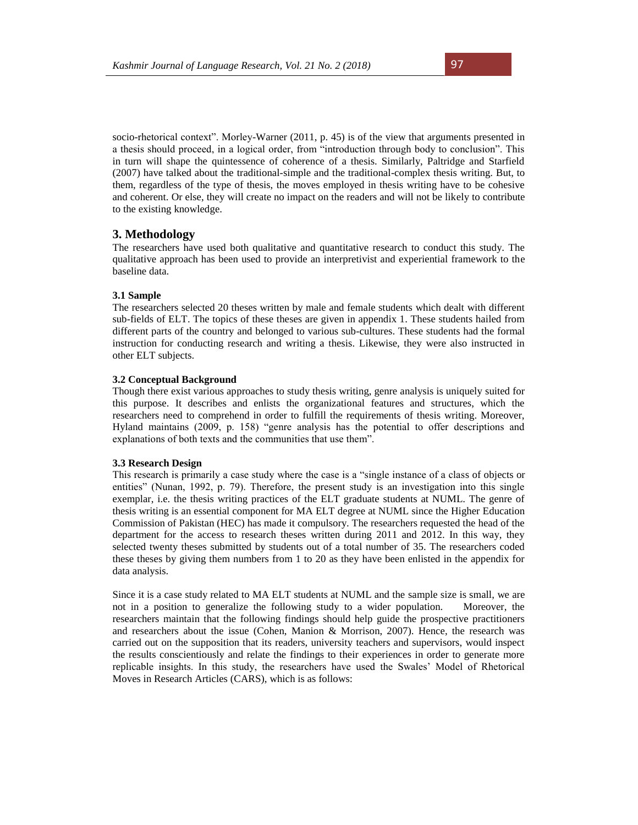socio-rhetorical context". Morley-Warner (2011, p. 45) is of the view that arguments presented in a thesis should proceed, in a logical order, from "introduction through body to conclusion". This in turn will shape the quintessence of coherence of a thesis. Similarly, Paltridge and Starfield (2007) have talked about the traditional-simple and the traditional-complex thesis writing. But, to them, regardless of the type of thesis, the moves employed in thesis writing have to be cohesive and coherent. Or else, they will create no impact on the readers and will not be likely to contribute to the existing knowledge.

# **3. Methodology**

The researchers have used both qualitative and quantitative research to conduct this study. The qualitative approach has been used to provide an interpretivist and experiential framework to the baseline data.

#### **3.1 Sample**

The researchers selected 20 theses written by male and female students which dealt with different sub-fields of ELT. The topics of these theses are given in appendix 1. These students hailed from different parts of the country and belonged to various sub-cultures. These students had the formal instruction for conducting research and writing a thesis. Likewise, they were also instructed in other ELT subjects.

#### **3.2 Conceptual Background**

Though there exist various approaches to study thesis writing, genre analysis is uniquely suited for this purpose. It describes and enlists the organizational features and structures, which the researchers need to comprehend in order to fulfill the requirements of thesis writing. Moreover, Hyland maintains (2009, p. 158) "genre analysis has the potential to offer descriptions and explanations of both texts and the communities that use them".

#### **3.3 Research Design**

This research is primarily a case study where the case is a "single instance of a class of objects or entities" (Nunan, 1992, p. 79). Therefore, the present study is an investigation into this single exemplar, i.e. the thesis writing practices of the ELT graduate students at NUML. The genre of thesis writing is an essential component for MA ELT degree at NUML since the Higher Education Commission of Pakistan (HEC) has made it compulsory. The researchers requested the head of the department for the access to research theses written during 2011 and 2012. In this way, they selected twenty theses submitted by students out of a total number of 35. The researchers coded these theses by giving them numbers from 1 to 20 as they have been enlisted in the appendix for data analysis.

Since it is a case study related to MA ELT students at NUML and the sample size is small, we are not in a position to generalize the following study to a wider population. Moreover, the researchers maintain that the following findings should help guide the prospective practitioners and researchers about the issue (Cohen, Manion & Morrison, 2007). Hence, the research was carried out on the supposition that its readers, university teachers and supervisors, would inspect the results conscientiously and relate the findings to their experiences in order to generate more replicable insights. In this study, the researchers have used the Swales' Model of Rhetorical Moves in Research Articles (CARS), which is as follows: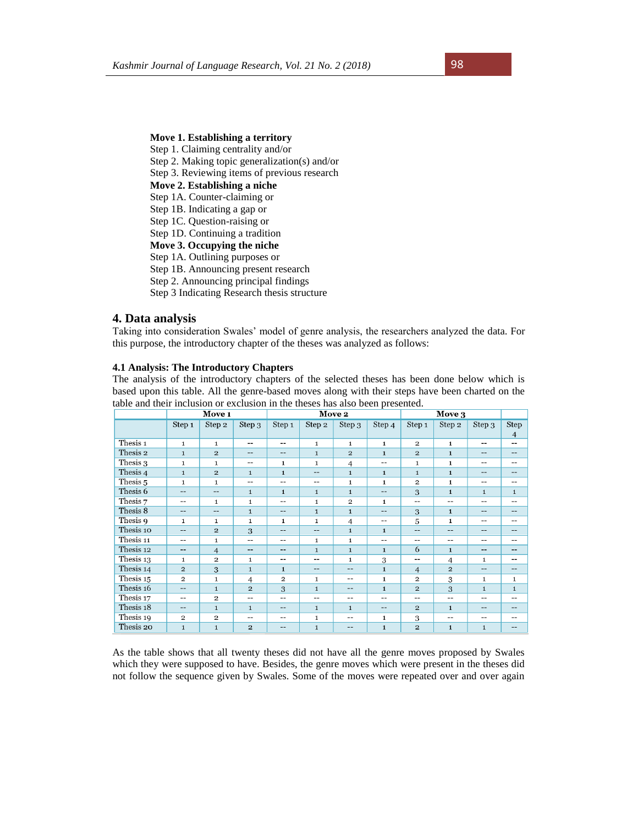# **Move 1. Establishing a territory**

Step 1. Claiming centrality and/or

- Step 2. Making topic generalization(s) and/or
- Step 3. Reviewing items of previous research
- **Move 2. Establishing a niche**
- Step 1A. Counter-claiming or
- Step 1B. Indicating a gap or Step 1C. Question-raising or
- 
- Step 1D. Continuing a tradition

**Move 3. Occupying the niche** Step 1A. Outlining purposes or

- Step 1B. Announcing present research
- Step 2. Announcing principal findings
- Step 3 Indicating Research thesis structure

#### **4. Data analysis**

Taking into consideration Swales' model of genre analysis, the researchers analyzed the data. For this purpose, the introductory chapter of the theses was analyzed as follows:

## **4.1 Analysis: The Introductory Chapters**

The analysis of the introductory chapters of the selected theses has been done below which is based upon this table. All the genre-based moves along with their steps have been charted on the table and their inclusion or exclusion in the theses has also been presented.

|                     | Move 1                                              |                          |                | Move 2                  |              |                |                          | Move 3         |                |              |                        |
|---------------------|-----------------------------------------------------|--------------------------|----------------|-------------------------|--------------|----------------|--------------------------|----------------|----------------|--------------|------------------------|
|                     | Step 1                                              | Step 2                   | Step 3         | Step 1                  | Step 2       | Step 3         | Step 4                   | Step 1         | Step 2         | Step 3       | Step<br>$\overline{4}$ |
| Thesis 1            | $\mathbf{1}$                                        | $\mathbf{1}$             | $-$            | --                      | $\mathbf{1}$ | $\mathbf{1}$   | $\mathbf{1}$             | $\overline{2}$ | $\mathbf{1}$   | $- -$        | $- -$                  |
| Thesis 2            | $\mathbf{1}$                                        | $\overline{2}$           | $- -$          | --                      | $\mathbf{1}$ | $\overline{2}$ | $\mathbf{1}$             | $\overline{2}$ | $\mathbf{1}$   | $- -$        | --                     |
| Thesis 3            | $\mathbf{1}$                                        | $\mathbf{1}$             | $-$            | 1                       | $\mathbf{1}$ | $\overline{4}$ | $-$                      | $\mathbf{1}$   | $\mathbf{1}$   | $-$          | $-$                    |
| Thesis 4            | $\mathbf{1}$                                        | $\overline{\mathbf{c}}$  | $\mathbf{1}$   | $\mathbf{1}$            | --           | $\mathbf{1}$   | $\mathbf{1}$             | $\mathbf{1}$   | $\mathbf{1}$   | $- -$        | --                     |
| Thesis <sub>5</sub> | $\mathbf{1}$                                        | $\mathbf{1}$             | $-$            | --                      | --           | $\mathbf{1}$   | $\mathbf{1}$             | $\overline{2}$ | $\mathbf{1}$   | --           | --                     |
| Thesis 6            | $- -$                                               | $- -$                    | $\mathbf{1}$   | $\mathbf{1}$            | $\mathbf{1}$ | $\mathbf{1}$   | --                       | 3              | $\mathbf{1}$   | $\mathbf{1}$ | $\mathbf{1}$           |
| Thesis 7            | --                                                  | 1                        | $\mathbf{1}$   | $- -$                   | $\mathbf{1}$ | $\overline{2}$ | $\mathbf{1}$             | $-$            | --             | --           | $-$                    |
| Thesis 8            | $\qquad \qquad -$                                   | $\overline{\phantom{a}}$ | $\mathbf{1}$   | --                      | $\mathbf{1}$ | $\mathbf{1}$   | $\overline{\phantom{a}}$ | 3              | $\mathbf{1}$   | $-$          | $-$                    |
| Thesis 9            | $\mathbf{1}$                                        | $\mathbf{1}$             | $\mathbf{1}$   | $\mathbf{1}$            | $\mathbf{1}$ | $\overline{4}$ | --                       | 5              | $\mathbf{1}$   | $- -$        | --                     |
| Thesis 10           | $-$                                                 | $\overline{2}$           | 3              | --                      | --           | $\mathbf{1}$   | $\mathbf{1}$             | $-$            | $-$            | $-$          | --                     |
| Thesis 11           | --                                                  | $\mathbf{1}$             | $- -$          | --                      | $\mathbf{1}$ | $\mathbf{1}$   | --                       | --             | --             | $- -$        | $- -$                  |
| Thesis 12           | $\hspace{0.05cm}$ – $\hspace{0.05cm}$               | $\overline{4}$           | $- -$          | --                      | $\mathbf{1}$ | $\mathbf{1}$   | $\mathbf{1}$             | 6              | $\mathbf{1}$   | $- -$        | --                     |
| Thesis 13           | 1                                                   | $\overline{2}$           | $\mathbf{1}$   | --                      | --           | $\mathbf{1}$   | 3                        | $- -$          | $\overline{4}$ | 1            | $- -$                  |
| Thesis 14           | $\overline{2}$                                      | 3                        | $\mathbf{1}$   | $\mathbf{1}$            | --           | --             | $\mathbf{1}$             | $\overline{4}$ | $\overline{2}$ | --           | --                     |
| Thesis 15           | $\overline{2}$                                      | 1                        | $\overline{4}$ | $\overline{\mathbf{2}}$ | 1            | --             | 1                        | $\overline{2}$ | 3              | 1            | $\mathbf{1}$           |
| Thesis 16           | $- -$                                               | $\mathbf{1}$             | $\overline{2}$ | 3                       | $\mathbf{1}$ | --             | $\mathbf{1}$             | $\overline{2}$ | 3              | $\mathbf{1}$ | $\mathbf{1}$           |
| Thesis 17           | $\hspace{0.05cm} -\hspace{0.05cm} -\hspace{0.05cm}$ | $\overline{2}$           | $-$            | --                      | --           | $- -$          | $-$                      | $-$            | $-$            | $-$          | $- -$                  |
| Thesis 18           | $- -$                                               | $\mathbf{1}$             | $\mathbf{1}$   | --                      | $\mathbf{1}$ | $\mathbf{1}$   | --                       | $\overline{2}$ | $\mathbf{1}$   | $- -$        | --                     |
| Thesis 19           | $\overline{2}$                                      | $\overline{2}$           | --             | $- -$                   | $\mathbf{1}$ | $- -$          | $\mathbf{1}$             | 3              | $-$            |              | --                     |
| Thesis 20           | $\mathbf{1}$                                        | $\mathbf{1}$             | $\overline{2}$ | --                      | $\mathbf{1}$ | --             | $\mathbf{1}$             | $\overline{2}$ | $\mathbf{1}$   | $\mathbf{1}$ | --                     |

As the table shows that all twenty theses did not have all the genre moves proposed by Swales which they were supposed to have. Besides, the genre moves which were present in the theses did not follow the sequence given by Swales. Some of the moves were repeated over and over again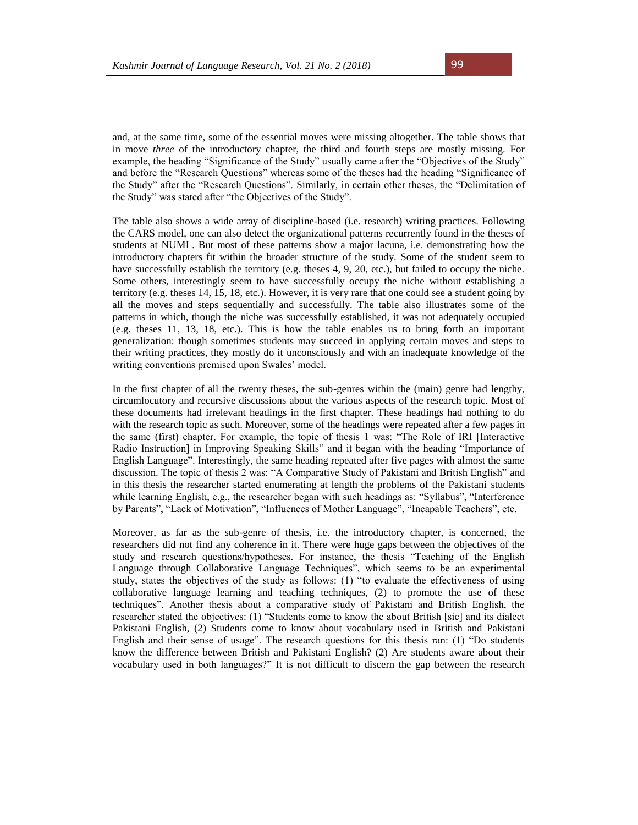and, at the same time, some of the essential moves were missing altogether. The table shows that in move *three* of the introductory chapter, the third and fourth steps are mostly missing. For example, the heading "Significance of the Study" usually came after the "Objectives of the Study" and before the "Research Questions" whereas some of the theses had the heading "Significance of the Study" after the "Research Questions". Similarly, in certain other theses, the "Delimitation of the Study" was stated after "the Objectives of the Study".

The table also shows a wide array of discipline-based (i.e. research) writing practices. Following the CARS model, one can also detect the organizational patterns recurrently found in the theses of students at NUML. But most of these patterns show a major lacuna, i.e. demonstrating how the introductory chapters fit within the broader structure of the study. Some of the student seem to have successfully establish the territory (e.g. theses 4, 9, 20, etc.), but failed to occupy the niche. Some others, interestingly seem to have successfully occupy the niche without establishing a territory (e.g. theses 14, 15, 18, etc.). However, it is very rare that one could see a student going by all the moves and steps sequentially and successfully. The table also illustrates some of the patterns in which, though the niche was successfully established, it was not adequately occupied (e.g. theses 11, 13, 18, etc.). This is how the table enables us to bring forth an important generalization: though sometimes students may succeed in applying certain moves and steps to their writing practices, they mostly do it unconsciously and with an inadequate knowledge of the writing conventions premised upon Swales' model.

In the first chapter of all the twenty theses, the sub-genres within the (main) genre had lengthy, circumlocutory and recursive discussions about the various aspects of the research topic. Most of these documents had irrelevant headings in the first chapter. These headings had nothing to do with the research topic as such. Moreover, some of the headings were repeated after a few pages in the same (first) chapter. For example, the topic of thesis 1 was: "The Role of IRI [Interactive Radio Instruction] in Improving Speaking Skills" and it began with the heading "Importance of English Language". Interestingly, the same heading repeated after five pages with almost the same discussion. The topic of thesis 2 was: "A Comparative Study of Pakistani and British English" and in this thesis the researcher started enumerating at length the problems of the Pakistani students while learning English, e.g., the researcher began with such headings as: "Syllabus", "Interference by Parents", "Lack of Motivation", "Influences of Mother Language", "Incapable Teachers", etc.

Moreover, as far as the sub-genre of thesis, i.e. the introductory chapter, is concerned, the researchers did not find any coherence in it. There were huge gaps between the objectives of the study and research questions/hypotheses. For instance, the thesis "Teaching of the English Language through Collaborative Language Techniques", which seems to be an experimental study, states the objectives of the study as follows: (1) "to evaluate the effectiveness of using collaborative language learning and teaching techniques, (2) to promote the use of these techniques". Another thesis about a comparative study of Pakistani and British English, the researcher stated the objectives: (1) "Students come to know the about British [sic] and its dialect Pakistani English, (2) Students come to know about vocabulary used in British and Pakistani English and their sense of usage". The research questions for this thesis ran: (1) "Do students know the difference between British and Pakistani English? (2) Are students aware about their vocabulary used in both languages?" It is not difficult to discern the gap between the research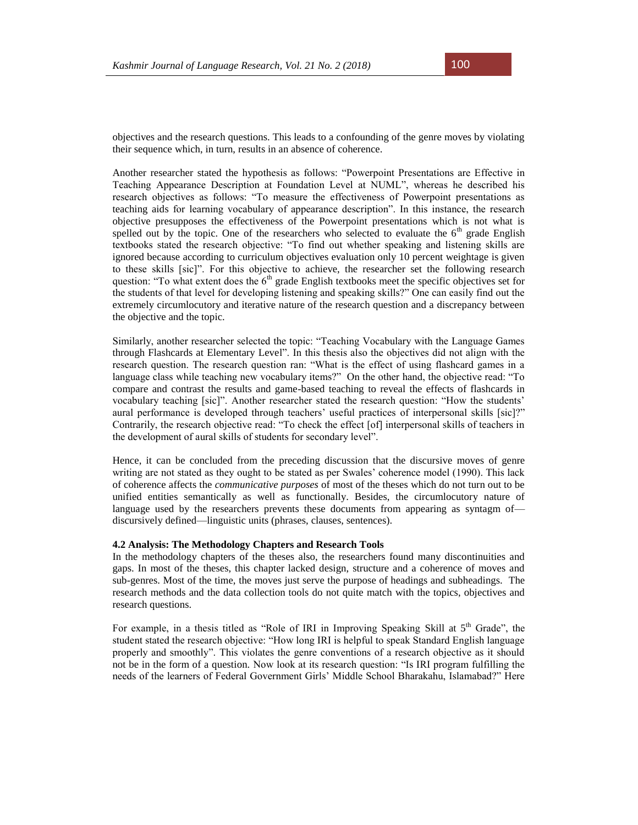objectives and the research questions. This leads to a confounding of the genre moves by violating their sequence which, in turn, results in an absence of coherence.

Another researcher stated the hypothesis as follows: "Powerpoint Presentations are Effective in Teaching Appearance Description at Foundation Level at NUML", whereas he described his research objectives as follows: "To measure the effectiveness of Powerpoint presentations as teaching aids for learning vocabulary of appearance description". In this instance, the research objective presupposes the effectiveness of the Powerpoint presentations which is not what is spelled out by the topic. One of the researchers who selected to evaluate the  $6<sup>th</sup>$  grade English textbooks stated the research objective: "To find out whether speaking and listening skills are ignored because according to curriculum objectives evaluation only 10 percent weightage is given to these skills [sic]". For this objective to achieve, the researcher set the following research question: "To what extent does the  $6<sup>th</sup>$  grade English textbooks meet the specific objectives set for the students of that level for developing listening and speaking skills?" One can easily find out the extremely circumlocutory and iterative nature of the research question and a discrepancy between the objective and the topic.

Similarly, another researcher selected the topic: "Teaching Vocabulary with the Language Games through Flashcards at Elementary Level". In this thesis also the objectives did not align with the research question. The research question ran: "What is the effect of using flashcard games in a language class while teaching new vocabulary items?" On the other hand, the objective read: "To compare and contrast the results and game-based teaching to reveal the effects of flashcards in vocabulary teaching [sic]". Another researcher stated the research question: "How the students' aural performance is developed through teachers' useful practices of interpersonal skills [sic]?" Contrarily, the research objective read: "To check the effect [of] interpersonal skills of teachers in the development of aural skills of students for secondary level".

Hence, it can be concluded from the preceding discussion that the discursive moves of genre writing are not stated as they ought to be stated as per Swales' coherence model (1990). This lack of coherence affects the *communicative purposes* of most of the theses which do not turn out to be unified entities semantically as well as functionally. Besides, the circumlocutory nature of language used by the researchers prevents these documents from appearing as syntagm of discursively defined—linguistic units (phrases, clauses, sentences).

### **4.2 Analysis: The Methodology Chapters and Research Tools**

In the methodology chapters of the theses also, the researchers found many discontinuities and gaps. In most of the theses, this chapter lacked design, structure and a coherence of moves and sub-genres. Most of the time, the moves just serve the purpose of headings and subheadings. The research methods and the data collection tools do not quite match with the topics, objectives and research questions.

For example, in a thesis titled as "Role of IRI in Improving Speaking Skill at  $5<sup>th</sup>$  Grade", the student stated the research objective: "How long IRI is helpful to speak Standard English language properly and smoothly". This violates the genre conventions of a research objective as it should not be in the form of a question. Now look at its research question: "Is IRI program fulfilling the needs of the learners of Federal Government Girls' Middle School Bharakahu, Islamabad?" Here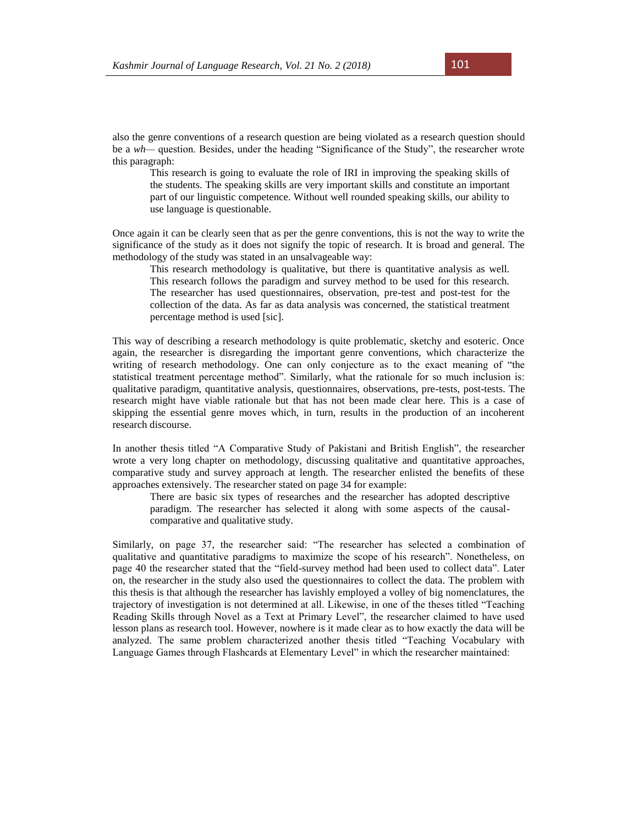also the genre conventions of a research question are being violated as a research question should be a *wh—* question. Besides, under the heading "Significance of the Study", the researcher wrote this paragraph:

This research is going to evaluate the role of IRI in improving the speaking skills of the students. The speaking skills are very important skills and constitute an important part of our linguistic competence. Without well rounded speaking skills, our ability to use language is questionable.

Once again it can be clearly seen that as per the genre conventions, this is not the way to write the significance of the study as it does not signify the topic of research. It is broad and general. The methodology of the study was stated in an unsalvageable way:

This research methodology is qualitative, but there is quantitative analysis as well. This research follows the paradigm and survey method to be used for this research. The researcher has used questionnaires, observation, pre-test and post-test for the collection of the data. As far as data analysis was concerned, the statistical treatment percentage method is used [sic].

This way of describing a research methodology is quite problematic, sketchy and esoteric. Once again, the researcher is disregarding the important genre conventions, which characterize the writing of research methodology. One can only conjecture as to the exact meaning of "the statistical treatment percentage method". Similarly, what the rationale for so much inclusion is: qualitative paradigm, quantitative analysis, questionnaires, observations, pre-tests, post-tests. The research might have viable rationale but that has not been made clear here. This is a case of skipping the essential genre moves which, in turn, results in the production of an incoherent research discourse.

In another thesis titled "A Comparative Study of Pakistani and British English", the researcher wrote a very long chapter on methodology, discussing qualitative and quantitative approaches, comparative study and survey approach at length. The researcher enlisted the benefits of these approaches extensively. The researcher stated on page 34 for example:

There are basic six types of researches and the researcher has adopted descriptive paradigm. The researcher has selected it along with some aspects of the causalcomparative and qualitative study.

Similarly, on page 37, the researcher said: "The researcher has selected a combination of qualitative and quantitative paradigms to maximize the scope of his research". Nonetheless, on page 40 the researcher stated that the "field-survey method had been used to collect data". Later on, the researcher in the study also used the questionnaires to collect the data. The problem with this thesis is that although the researcher has lavishly employed a volley of big nomenclatures, the trajectory of investigation is not determined at all. Likewise, in one of the theses titled "Teaching Reading Skills through Novel as a Text at Primary Level", the researcher claimed to have used lesson plans as research tool. However, nowhere is it made clear as to how exactly the data will be analyzed. The same problem characterized another thesis titled "Teaching Vocabulary with Language Games through Flashcards at Elementary Level" in which the researcher maintained: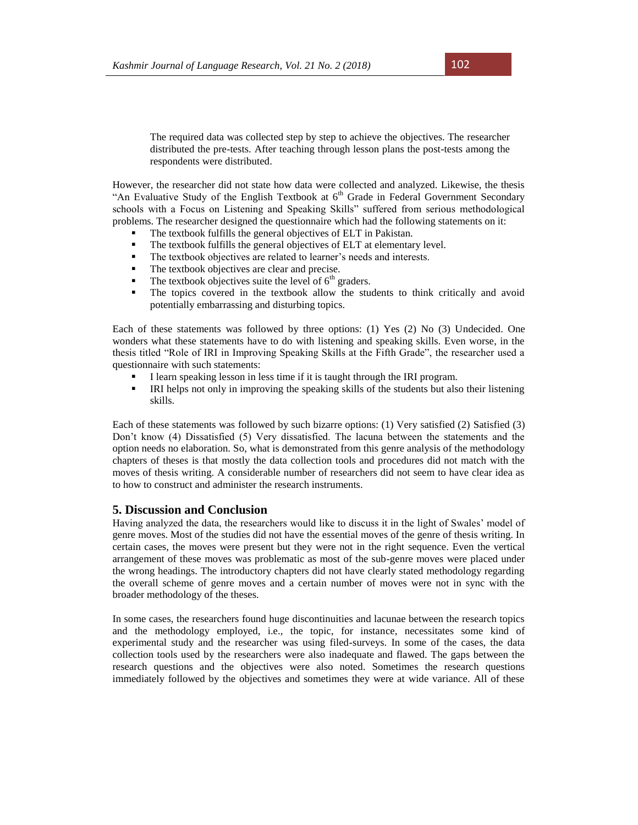The required data was collected step by step to achieve the objectives. The researcher distributed the pre-tests. After teaching through lesson plans the post-tests among the respondents were distributed.

However, the researcher did not state how data were collected and analyzed. Likewise, the thesis "An Evaluative Study of the English Textbook at  $6<sup>th</sup>$  Grade in Federal Government Secondary schools with a Focus on Listening and Speaking Skills" suffered from serious methodological problems. The researcher designed the questionnaire which had the following statements on it:

- The textbook fulfills the general objectives of ELT in Pakistan.
- The textbook fulfills the general objectives of ELT at elementary level.
- The textbook objectives are related to learner's needs and interests.
- The textbook objectives are clear and precise.
- $\blacksquare$  The textbook objectives suite the level of  $6<sup>th</sup>$  graders.
- The topics covered in the textbook allow the students to think critically and avoid potentially embarrassing and disturbing topics.

Each of these statements was followed by three options: (1) Yes (2) No (3) Undecided. One wonders what these statements have to do with listening and speaking skills. Even worse, in the thesis titled "Role of IRI in Improving Speaking Skills at the Fifth Grade", the researcher used a questionnaire with such statements:

- I learn speaking lesson in less time if it is taught through the IRI program.
- IRI helps not only in improving the speaking skills of the students but also their listening skills.

Each of these statements was followed by such bizarre options: (1) Very satisfied (2) Satisfied (3) Don't know (4) Dissatisfied (5) Very dissatisfied. The lacuna between the statements and the option needs no elaboration. So, what is demonstrated from this genre analysis of the methodology chapters of theses is that mostly the data collection tools and procedures did not match with the moves of thesis writing. A considerable number of researchers did not seem to have clear idea as to how to construct and administer the research instruments.

# **5. Discussion and Conclusion**

Having analyzed the data, the researchers would like to discuss it in the light of Swales' model of genre moves. Most of the studies did not have the essential moves of the genre of thesis writing. In certain cases, the moves were present but they were not in the right sequence. Even the vertical arrangement of these moves was problematic as most of the sub-genre moves were placed under the wrong headings. The introductory chapters did not have clearly stated methodology regarding the overall scheme of genre moves and a certain number of moves were not in sync with the broader methodology of the theses.

In some cases, the researchers found huge discontinuities and lacunae between the research topics and the methodology employed, i.e., the topic, for instance, necessitates some kind of experimental study and the researcher was using filed-surveys. In some of the cases, the data collection tools used by the researchers were also inadequate and flawed. The gaps between the research questions and the objectives were also noted. Sometimes the research questions immediately followed by the objectives and sometimes they were at wide variance. All of these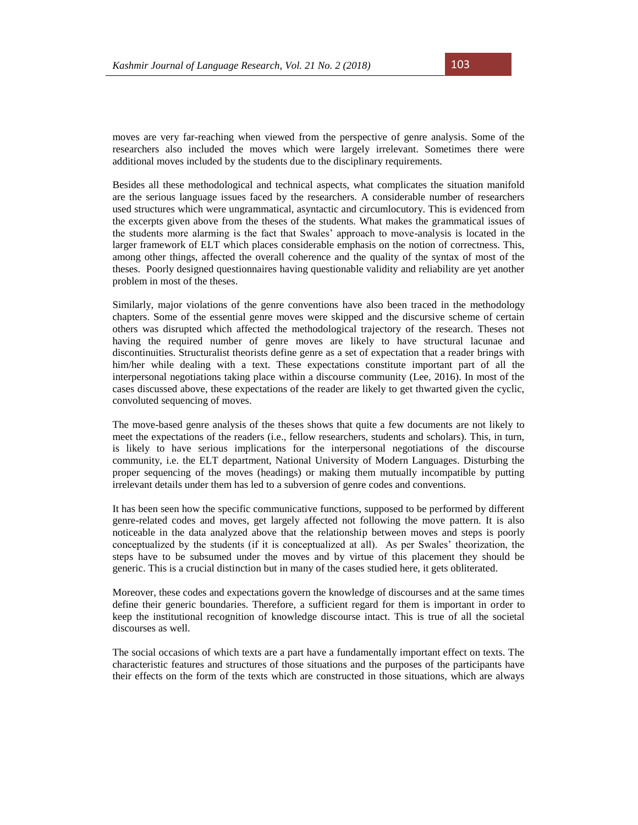moves are very far-reaching when viewed from the perspective of genre analysis. Some of the researchers also included the moves which were largely irrelevant. Sometimes there were additional moves included by the students due to the disciplinary requirements.

Besides all these methodological and technical aspects, what complicates the situation manifold are the serious language issues faced by the researchers. A considerable number of researchers used structures which were ungrammatical, asyntactic and circumlocutory. This is evidenced from the excerpts given above from the theses of the students. What makes the grammatical issues of the students more alarming is the fact that Swales' approach to move-analysis is located in the larger framework of ELT which places considerable emphasis on the notion of correctness. This, among other things, affected the overall coherence and the quality of the syntax of most of the theses. Poorly designed questionnaires having questionable validity and reliability are yet another problem in most of the theses.

Similarly, major violations of the genre conventions have also been traced in the methodology chapters. Some of the essential genre moves were skipped and the discursive scheme of certain others was disrupted which affected the methodological trajectory of the research. Theses not having the required number of genre moves are likely to have structural lacunae and discontinuities. Structuralist theorists define genre as a set of expectation that a reader brings with him/her while dealing with a text. These expectations constitute important part of all the interpersonal negotiations taking place within a discourse community (Lee, 2016). In most of the cases discussed above, these expectations of the reader are likely to get thwarted given the cyclic, convoluted sequencing of moves.

The move-based genre analysis of the theses shows that quite a few documents are not likely to meet the expectations of the readers (i.e., fellow researchers, students and scholars). This, in turn, is likely to have serious implications for the interpersonal negotiations of the discourse community, i.e. the ELT department, National University of Modern Languages. Disturbing the proper sequencing of the moves (headings) or making them mutually incompatible by putting irrelevant details under them has led to a subversion of genre codes and conventions.

It has been seen how the specific communicative functions, supposed to be performed by different genre-related codes and moves, get largely affected not following the move pattern. It is also noticeable in the data analyzed above that the relationship between moves and steps is poorly conceptualized by the students (if it is conceptualized at all). As per Swales' theorization, the steps have to be subsumed under the moves and by virtue of this placement they should be generic. This is a crucial distinction but in many of the cases studied here, it gets obliterated.

Moreover, these codes and expectations govern the knowledge of discourses and at the same times define their generic boundaries. Therefore, a sufficient regard for them is important in order to keep the institutional recognition of knowledge discourse intact. This is true of all the societal discourses as well.

The social occasions of which texts are a part have a fundamentally important effect on texts. The characteristic features and structures of those situations and the purposes of the participants have their effects on the form of the texts which are constructed in those situations, which are always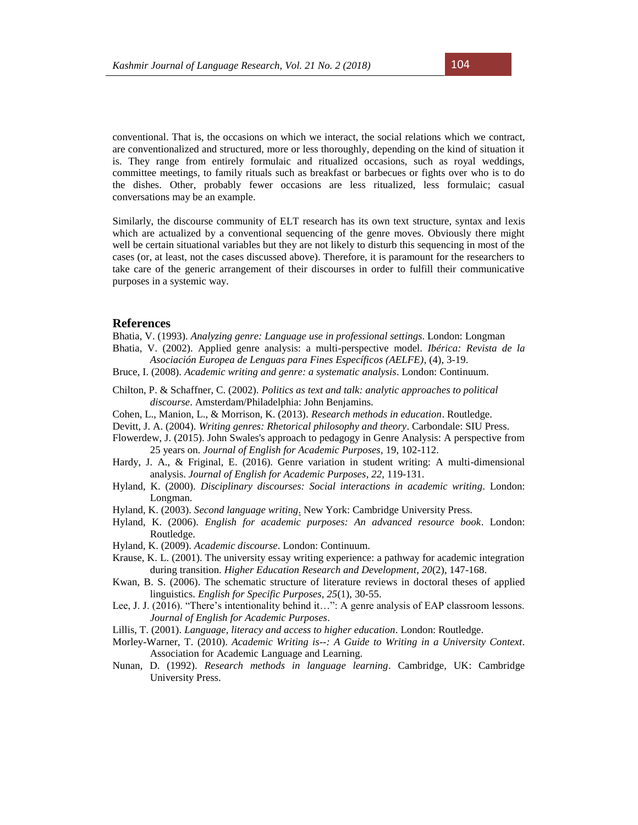conventional. That is, the occasions on which we interact, the social relations which we contract, are conventionalized and structured, more or less thoroughly, depending on the kind of situation it is. They range from entirely formulaic and ritualized occasions, such as royal weddings, committee meetings, to family rituals such as breakfast or barbecues or fights over who is to do the dishes. Other, probably fewer occasions are less ritualized, less formulaic; casual conversations may be an example.

Similarly, the discourse community of ELT research has its own text structure, syntax and lexis which are actualized by a conventional sequencing of the genre moves. Obviously there might well be certain situational variables but they are not likely to disturb this sequencing in most of the cases (or, at least, not the cases discussed above). Therefore, it is paramount for the researchers to take care of the generic arrangement of their discourses in order to fulfill their communicative purposes in a systemic way.

# **References**

Bhatia, V. (1993). *Analyzing genre: Language use in professional settings*. London: Longman Bhatia, V. (2002). Applied genre analysis: a multi-perspective model. *Ibérica: Revista de la* 

- *Asociación Europea de Lenguas para Fines Específicos (AELFE)*, (4), 3-19.
- Bruce, I. (2008). *Academic writing and genre: a systematic analysis*. London: Continuum.
- Chilton, P. & Schaffner, C. (2002). *Politics as text and talk: analytic approaches to political discourse*. Amsterdam/Philadelphia: John Benjamins.
- Cohen, L., Manion, L., & Morrison, K. (2013). *Research methods in education*. Routledge.
- Devitt, J. A. (2004). *Writing genres: Rhetorical philosophy and theory*. Carbondale: SIU Press.
- Flowerdew, J. (2015). John Swales's approach to pedagogy in Genre Analysis: A perspective from 25 years on. *Journal of English for Academic Purposes*, 19, 102-112.
- Hardy, J. A., & Friginal, E. (2016). Genre variation in student writing: A multi-dimensional analysis. *Journal of English for Academic Purposes*, *22*, 119-131.
- Hyland, K. (2000). *Disciplinary discourses: Social interactions in academic writing*. London: Longman.
- Hyland, K. (2003). *Second language writing*. New York: Cambridge University Press.
- Hyland, K. (2006). *English for academic purposes: An advanced resource book*. London: Routledge.
- Hyland, K. (2009). *Academic discourse*. London: Continuum.
- Krause, K. L. (2001). The university essay writing experience: a pathway for academic integration during transition. *Higher Education Research and Development*, *20*(2), 147-168.
- Kwan, B. S. (2006). The schematic structure of literature reviews in doctoral theses of applied linguistics. *English for Specific Purposes*, *25*(1), 30-55.
- Lee, J. J. (2016). "There's intentionality behind it…": A genre analysis of EAP classroom lessons. *Journal of English for Academic Purposes*.
- Lillis, T. (2001). *Language, literacy and access to higher education*. London: Routledge.
- Morley-Warner, T. (2010). *Academic Writing is--: A Guide to Writing in a University Context*. Association for Academic Language and Learning.
- Nunan, D. (1992). *Research methods in language learning*. Cambridge, UK: Cambridge University Press.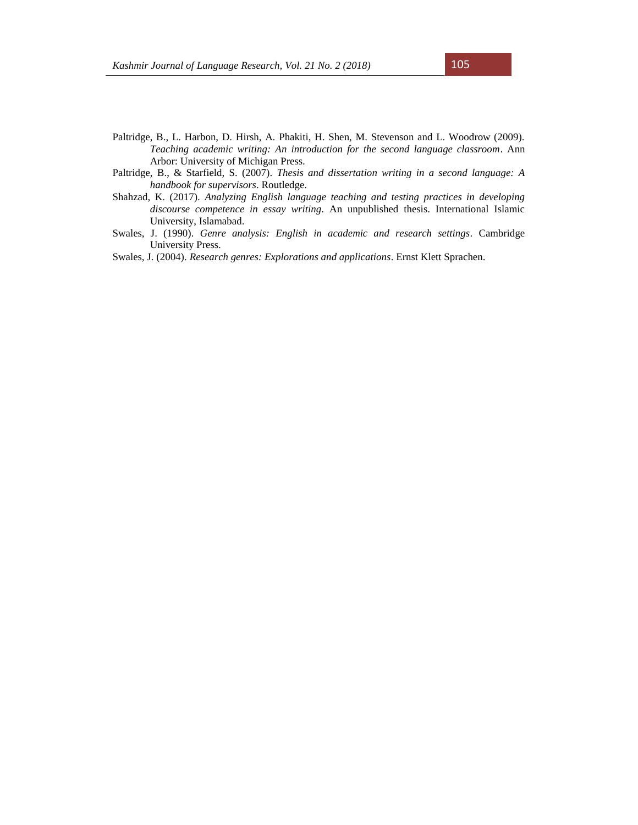- Paltridge, B., L. Harbon, D. Hirsh, A. Phakiti, H. Shen, M. Stevenson and L. Woodrow (2009). *Teaching academic writing: An introduction for the second language classroom*. Ann Arbor: University of Michigan Press.
- Paltridge, B., & Starfield, S. (2007). *Thesis and dissertation writing in a second language: A handbook for supervisors*. Routledge.
- Shahzad, K. (2017). *Analyzing English language teaching and testing practices in developing discourse competence in essay writing*. An unpublished thesis. International Islamic University, Islamabad.
- Swales, J. (1990). *Genre analysis: English in academic and research settings*. Cambridge University Press.

Swales, J. (2004). *Research genres: Explorations and applications*. Ernst Klett Sprachen.